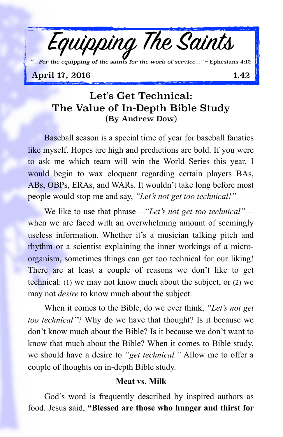

*"…For the equipping of the saints for the work of service…"* ~ Ephesians 4:12

## April 17, 2016 1.42

# Let's Get Technical: The Value of In-Depth Bible Study (By Andrew Dow)

Baseball season is a special time of year for baseball fanatics like myself. Hopes are high and predictions are bold. If you were to ask me which team will win the World Series this year, I would begin to wax eloquent regarding certain players BAs, ABs, OBPs, ERAs, and WARs. It wouldn't take long before most people would stop me and say, *"Let's not get too technical!"*

We like to use that phrase—*"Let's not get too technical"* when we are faced with an overwhelming amount of seemingly useless information. Whether it's a musician talking pitch and rhythm or a scientist explaining the inner workings of a microorganism, sometimes things can get too technical for our liking! There are at least a couple of reasons we don't like to get technical: (1) we may not know much about the subject, or (2) we may not *desire* to know much about the subject.

When it comes to the Bible, do we ever think, *"Let's not get too technical"*? Why do we have that thought? Is it because we don't know much about the Bible? Is it because we don't want to know that much about the Bible? When it comes to Bible study, we should have a desire to *"get technical."* Allow me to offer a couple of thoughts on in-depth Bible study.

#### **Meat vs. Milk**

God's word is frequently described by inspired authors as food. Jesus said, **"Blessed are those who hunger and thirst for**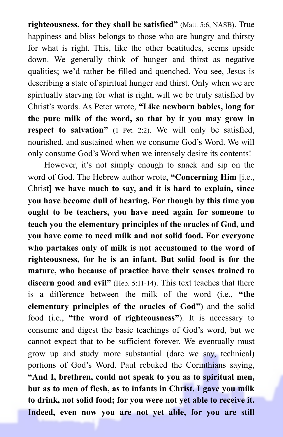**righteousness, for they shall be satisfied"** (Matt. 5:6, NASB). True happiness and bliss belongs to those who are hungry and thirsty for what is right. This, like the other beatitudes, seems upside down. We generally think of hunger and thirst as negative qualities; we'd rather be filled and quenched. You see, Jesus is describing a state of spiritual hunger and thirst. Only when we are spiritually starving for what is right, will we be truly satisfied by Christ's words. As Peter wrote, **"Like newborn babies, long for the pure milk of the word, so that by it you may grow in respect to salvation"** (1 Pet. 2:2). We will only be satisfied, nourished, and sustained when we consume God's Word. We will only consume God's Word when we intensely desire its contents!

However, it's not simply enough to snack and sip on the word of God. The Hebrew author wrote, **"Concerning Him** [i.e., Christ] **we have much to say, and it is hard to explain, since you have become dull of hearing. For though by this time you ought to be teachers, you have need again for someone to teach you the elementary principles of the oracles of God, and you have come to need milk and not solid food. For everyone who partakes only of milk is not accustomed to the word of righteousness, for he is an infant. But solid food is for the mature, who because of practice have their senses trained to discern good and evil"** (Heb. 5:11-14). This text teaches that there is a difference between the milk of the word (i.e., **"the elementary principles of the oracles of God"**) and the solid food (i.e., **"the word of righteousness"**). It is necessary to consume and digest the basic teachings of God's word, but we cannot expect that to be sufficient forever. We eventually must grow up and study more substantial (dare we say, technical) portions of God's Word. Paul rebuked the Corinthians saying, **"And I, brethren, could not speak to you as to spiritual men, but as to men of flesh, as to infants in Christ. I gave you milk to drink, not solid food; for you were not yet able to receive it. Indeed, even now you are not yet able, for you are still**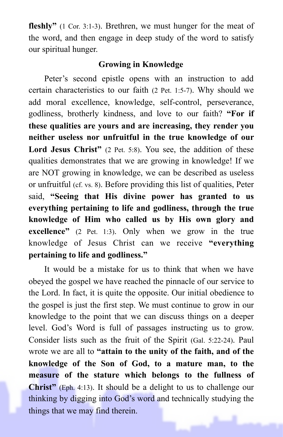**fleshly"** (1 Cor. 3:1-3). Brethren, we must hunger for the meat of the word, and then engage in deep study of the word to satisfy our spiritual hunger.

## **Growing in Knowledge**

Peter's second epistle opens with an instruction to add certain characteristics to our faith (2 Pet. 1:5-7). Why should we add moral excellence, knowledge, self-control, perseverance, godliness, brotherly kindness, and love to our faith? **"For if these qualities are yours and are increasing, they render you neither useless nor unfruitful in the true knowledge of our**  Lord Jesus Christ" (2 Pet. 5:8). You see, the addition of these qualities demonstrates that we are growing in knowledge! If we are NOT growing in knowledge, we can be described as useless or unfruitful (cf. vs. 8). Before providing this list of qualities, Peter said, **"Seeing that His divine power has granted to us everything pertaining to life and godliness, through the true knowledge of Him who called us by His own glory and excellence"** (2 Pet. 1:3). Only when we grow in the true knowledge of Jesus Christ can we receive **"everything pertaining to life and godliness."**

It would be a mistake for us to think that when we have obeyed the gospel we have reached the pinnacle of our service to the Lord. In fact, it is quite the opposite. Our initial obedience to the gospel is just the first step. We must continue to grow in our knowledge to the point that we can discuss things on a deeper level. God's Word is full of passages instructing us to grow. Consider lists such as the fruit of the Spirit (Gal. 5:22-24). Paul wrote we are all to **"attain to the unity of the faith, and of the knowledge of the Son of God, to a mature man, to the measure of the stature which belongs to the fullness of Christ"** (Eph. 4:13). It should be a delight to us to challenge our thinking by digging into God's word and technically studying the things that we may find therein.